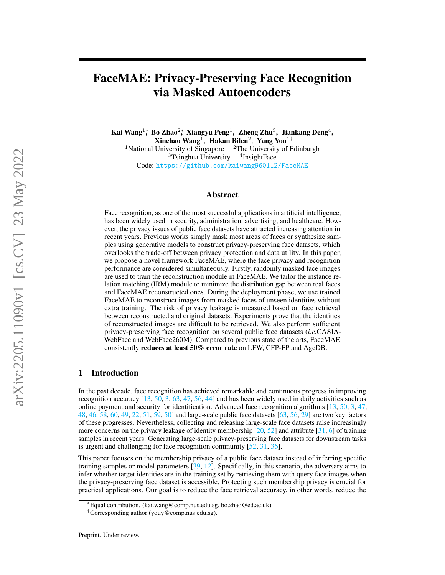# FaceMAE: Privacy-Preserving Face Recognition via Masked Autoencoders

Kai Wang $^{1*}$ , Bo Zhao $^{2*}$ , Xiangyu Peng $^{1}$ , Zheng Zhu $^{3}$ , Jiankang Deng $^{4},$ Xinchao Wang<sup>1</sup>, Hakan Bilen<sup>2</sup>, Yang You<sup>1†</sup> <sup>1</sup>National University of Singapore  $2$ The University of Edinburgh <sup>3</sup>Tsinghua University  $4$ InsightFace Code: <https://github.com/kaiwang960112/FaceMAE>

# Abstract

Face recognition, as one of the most successful applications in artificial intelligence, has been widely used in security, administration, advertising, and healthcare. However, the privacy issues of public face datasets have attracted increasing attention in recent years. Previous works simply mask most areas of faces or synthesize samples using generative models to construct privacy-preserving face datasets, which overlooks the trade-off between privacy protection and data utility. In this paper, we propose a novel framework FaceMAE, where the face privacy and recognition performance are considered simultaneously. Firstly, randomly masked face images are used to train the reconstruction module in FaceMAE. We tailor the instance relation matching (IRM) module to minimize the distribution gap between real faces and FaceMAE reconstructed ones. During the deployment phase, we use trained FaceMAE to reconstruct images from masked faces of unseen identities without extra training. The risk of privacy leakage is measured based on face retrieval between reconstructed and original datasets. Experiments prove that the identities of reconstructed images are difficult to be retrieved. We also perform sufficient privacy-preserving face recognition on several public face datasets (*i.e.*CASIA-WebFace and WebFace260M). Compared to previous state of the arts, FaceMAE consistently reduces at least 50% error rate on LFW, CFP-FP and AgeDB.

# 1 Introduction

In the past decade, face recognition has achieved remarkable and continuous progress in improving recognition accuracy [\[13,](#page-9-0) [50,](#page-10-0) [3,](#page-8-0) [63,](#page-11-0) [47,](#page-10-1) [56,](#page-10-2) [44\]](#page-10-3) and has been widely used in daily activities such as online payment and security for identification. Advanced face recognition algorithms [\[13,](#page-9-0) [50,](#page-10-0) [3,](#page-8-0) [47,](#page-10-1) [48,](#page-10-4) [46,](#page-10-5) [58,](#page-10-6) [60,](#page-10-7) [49,](#page-10-8) [22,](#page-9-1) [51,](#page-10-9) [59,](#page-10-10) [50\]](#page-10-0) and large-scale public face datasets [\[63,](#page-11-0) [56,](#page-10-2) [29\]](#page-9-2) are two key factors of these progresses. Nevertheless, collecting and releasing large-scale face datasets raise increasingly more concerns on the privacy leakage of identity membership  $[20, 52]$  $[20, 52]$  $[20, 52]$  and attribute  $[31, 6]$  $[31, 6]$  $[31, 6]$  of training samples in recent years. Generating large-scale privacy-preserving face datasets for downstream tasks is urgent and challenging for face recognition community [\[52,](#page-10-11) [31,](#page-9-4) [36\]](#page-10-12).

This paper focuses on the membership privacy of a public face dataset instead of inferring specific training samples or model parameters [\[39,](#page-10-13) [12\]](#page-9-5). Specifically, in this scenario, the adversary aims to infer whether target identities are in the training set by retrieving them with query face images when the privacy-preserving face dataset is accessible. Protecting such membership privacy is crucial for practical applications. Our goal is to reduce the face retrieval accuracy, in other words, reduce the

<sup>∗</sup>Equal contribution. (kai.wang@comp.nus.edu.sg, bo.zhao@ed.ac.uk)

<sup>†</sup>Corresponding author (youy@comp.nus.edu.sg).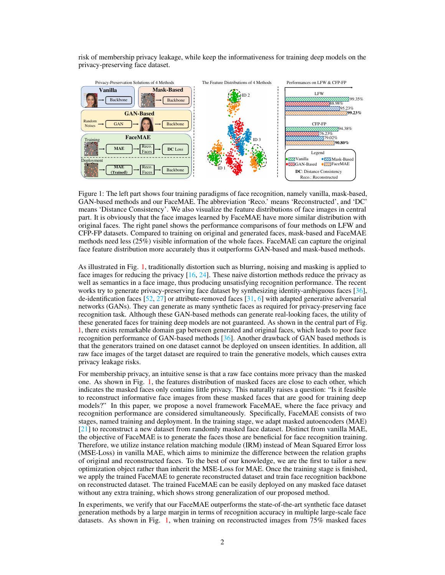risk of membership privacy leakage, while keep the informativeness for training deep models on the privacy-preserving face dataset.



<span id="page-1-0"></span>Figure 1: The left part shows four training paradigms of face recognition, namely vanilla, mask-based, GAN-based methods and our FaceMAE. The abbreviation 'Reco.' means 'Reconstructed', and 'DC' means 'Distance Consistency'. We also visualize the feature distributions of face images in central part. It is obviously that the face images learned by FaceMAE have more similar distribution with original faces. The right panel shows the performance comparisons of four methods on LFW and CFP-FP datasets. Compared to training on original and generated faces, mask-based and FaceMAE methods need less (25%) visible information of the whole faces. FaceMAE can capture the original face feature distribution more accurately thus it outperforms GAN-based and mask-based methods.

As illustrated in Fig. [1,](#page-1-0) traditionally distortion such as blurring, noising and masking is applied to face images for reducing the privacy [\[16,](#page-9-6) [24\]](#page-9-7). These naive distortion methods reduce the privacy as well as semantics in a face image, thus producing unsatisfying recognition performance. The recent works try to generate privacy-preserving face dataset by synthesizing identity-ambiguous faces [\[36\]](#page-10-12), de-identification faces  $[52, 27]$  $[52, 27]$  $[52, 27]$  or attribute-removed faces  $[31, 6]$  $[31, 6]$  $[31, 6]$  with adapted generative adversarial networks (GANs). They can generate as many synthetic faces as required for privacy-preserving face recognition task. Although these GAN-based methods can generate real-looking faces, the utility of these generated faces for training deep models are not guaranteed. As shown in the central part of Fig. [1,](#page-1-0) there exists remarkable domain gap between generated and original faces, which leads to poor face recognition performance of GAN-based methods [\[36\]](#page-10-12). Another drawback of GAN based methods is that the generators trained on one dataset cannot be deployed on unseen identities. In addition, all raw face images of the target dataset are required to train the generative models, which causes extra privacy leakage risks.

For membership privacy, an intuitive sense is that a raw face contains more privacy than the masked one. As shown in Fig. [1,](#page-1-0) the features distribution of masked faces are close to each other, which indicates the masked faces only contains little privacy. This naturally raises a question: "Is it feasible to reconstruct informative face images from these masked faces that are good for training deep models?" In this paper, we propose a novel framework FaceMAE, where the face privacy and recognition performance are considered simultaneously. Specifically, FaceMAE consists of two stages, named training and deployment. In the training stage, we adapt masked autoencoders (MAE) [\[21\]](#page-9-9) to reconstruct a new dataset from randomly masked face dataset. Distinct from vanilla MAE, the objective of FaceMAE is to generate the faces those are beneficial for face recognition training. Therefore, we utilize instance relation matching module (IRM) instead of Mean Squared Error loss (MSE-Loss) in vanilla MAE, which aims to minimize the difference between the relation graphs of original and reconstructed faces. To the best of our knowledge, we are the first to tailor a new optimization object rather than inherit the MSE-Loss for MAE. Once the training stage is finished, we apply the trained FaceMAE to generate reconstructed dataset and train face recognition backbone on reconstructed dataset. The trained FaceMAE can be easily deployed on any masked face dataset without any extra training, which shows strong generalization of our proposed method.

In experiments, we verify that our FaceMAE outperforms the state-of-the-art synthetic face dataset generation methods by a large margin in terms of recognition accuracy in multiple large-scale face datasets. As shown in Fig. [1,](#page-1-0) when training on reconstructed images from 75% masked faces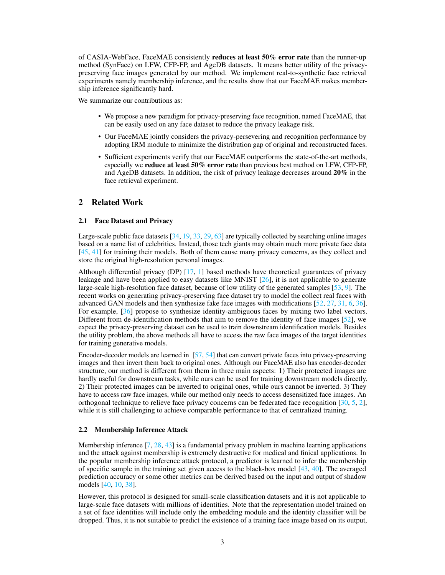of CASIA-WebFace, FaceMAE consistently reduces at least 50% error rate than the runner-up method (SynFace) on LFW, CFP-FP, and AgeDB datasets. It means better utility of the privacypreserving face images generated by our method. We implement real-to-synthetic face retrieval experiments namely membership inference, and the results show that our FaceMAE makes membership inference significantly hard.

We summarize our contributions as:

- We propose a new paradigm for privacy-preserving face recognition, named FaceMAE, that can be easily used on any face dataset to reduce the privacy leakage risk.
- Our FaceMAE jointly considers the privacy-persevering and recognition performance by adopting IRM module to minimize the distribution gap of original and reconstructed faces.
- Sufficient experiments verify that our FaceMAE outperforms the state-of-the-art methods, especially we reduce at least 50% error rate than previous best method on LFW, CFP-FP, and AgeDB datasets. In addition, the risk of privacy leakage decreases around 20% in the face retrieval experiment.

# 2 Related Work

#### 2.1 Face Dataset and Privacy

Large-scale public face datasets [\[34,](#page-10-14) [19,](#page-9-10) [33,](#page-10-15) [29,](#page-9-2) [63\]](#page-11-0) are typically collected by searching online images based on a name list of celebrities. Instead, those tech giants may obtain much more private face data [\[45,](#page-10-16) [41\]](#page-10-17) for training their models. Both of them cause many privacy concerns, as they collect and store the original high-resolution personal images.

Although differential privacy (DP) [\[17,](#page-9-11) [1\]](#page-8-2) based methods have theoretical guarantees of privacy leakage and have been applied to easy datasets like MNIST  $[26]$ , it is not applicable to generate large-scale high-resolution face dataset, because of low utility of the generated samples [\[53,](#page-10-18) [9\]](#page-9-13). The recent works on generating privacy-preserving face dataset try to model the collect real faces with advanced GAN models and then synthesize fake face images with modifications [\[52,](#page-10-11) [27,](#page-9-8) [31,](#page-9-4) [6,](#page-8-1) [36\]](#page-10-12). For example, [\[36\]](#page-10-12) propose to synthesize identity-ambiguous faces by mixing two label vectors. Different from de-identification methods that aim to remove the identity of face images [\[52\]](#page-10-11), we expect the privacy-preserving dataset can be used to train downstream identification models. Besides the utility problem, the above methods all have to access the raw face images of the target identities for training generative models.

Encoder-decoder models are learned in [\[57,](#page-10-19) [54\]](#page-10-20) that can convert private faces into privacy-preserving images and then invert them back to original ones. Although our FaceMAE also has encoder-decoder structure, our method is different from them in three main aspects: 1) Their protected images are hardly useful for downstream tasks, while ours can be used for training downstream models directly. 2) Their protected images can be inverted to original ones, while ours cannot be inverted. 3) They have to access raw face images, while our method only needs to access desensitized face images. An orthogonal technique to relieve face privacy concerns can be federated face recognition [\[30,](#page-9-14) [5,](#page-8-3) [2\]](#page-8-4), while it is still challenging to achieve comparable performance to that of centralized training.

#### 2.2 Membership Inference Attack

Membership inference  $[7, 28, 43]$  $[7, 28, 43]$  $[7, 28, 43]$  $[7, 28, 43]$  $[7, 28, 43]$  is a fundamental privacy problem in machine learning applications and the attack against membership is extremely destructive for medical and finical applications. In the popular membership inference attack protocol, a predictor is learned to infer the membership of specific sample in the training set given access to the black-box model  $[43, 40]$  $[43, 40]$  $[43, 40]$ . The averaged prediction accuracy or some other metrics can be derived based on the input and output of shadow models [\[40,](#page-10-22) [10,](#page-9-17) [38\]](#page-10-23).

However, this protocol is designed for small-scale classification datasets and it is not applicable to large-scale face datasets with millions of identities. Note that the representation model trained on a set of face identities will include only the embedding module and the identity classifier will be dropped. Thus, it is not suitable to predict the existence of a training face image based on its output,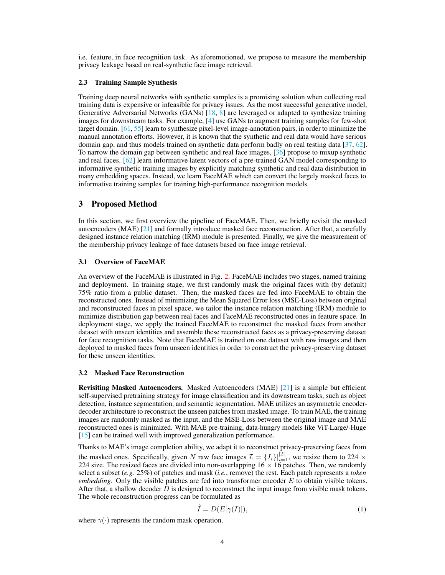i.e. feature, in face recognition task. As aforemotioned, we propose to measure the membership privacy leakage based on real-synthetic face image retrieval.

#### 2.3 Training Sample Synthesis

Training deep neural networks with synthetic samples is a promising solution when collecting real training data is expensive or infeasible for privacy issues. As the most successful generative model, Generative Adversarial Networks (GANs) [\[18,](#page-9-18) [8\]](#page-9-19) are leveraged or adapted to synthesize training images for downstream tasks. For example, [\[4\]](#page-8-5) use GANs to augment training samples for few-shot target domain. [\[61,](#page-11-1) [55\]](#page-10-24) learn to synthesize pixel-level image-annotation pairs, in order to minimize the manual annotation efforts. However, it is known that the synthetic and real data would have serious domain gap, and thus models trained on synthetic data perform badly on real testing data [\[37,](#page-10-25) [62\]](#page-11-2). To narrow the domain gap between synthetic and real face images, [\[36\]](#page-10-12) propose to mixup synthetic and real faces. [\[62\]](#page-11-2) learn informative latent vectors of a pre-trained GAN model corresponding to informative synthetic training images by explicitly matching synthetic and real data distribution in many embedding spaces. Instead, we learn FaceMAE which can convert the largely masked faces to informative training samples for training high-performance recognition models.

# 3 Proposed Method

In this section, we first overview the pipeline of FaceMAE. Then, we briefly revisit the masked autoencoders (MAE) [\[21\]](#page-9-9) and formally introduce masked face reconstruction. After that, a carefully designed instance relation matching (IRM) module is presented. Finally, we give the measurement of the membership privacy leakage of face datasets based on face image retrieval.

#### 3.1 Overview of FaceMAE

An overview of the FaceMAE is illustrated in Fig. [2.](#page-4-0) FaceMAE includes two stages, named training and deployment. In training stage, we first randomly mask the original faces with (by default) 75% ratio from a public dataset. Then, the masked faces are fed into FaceMAE to obtain the reconstructed ones. Instead of minimizing the Mean Squared Error loss (MSE-Loss) between original and reconstructed faces in pixel space, we tailor the instance relation matching (IRM) module to minimize distribution gap between real faces and FaceMAE reconstructed ones in feature space. In deployment stage, we apply the trained FaceMAE to reconstruct the masked faces from another dataset with unseen identities and assemble these reconstructed faces as a privacy-preserving dataset for face recognition tasks. Note that FaceMAE is trained on one dataset with raw images and then deployed to masked faces from unseen identities in order to construct the privacy-preserving dataset for these unseen identities.

#### 3.2 Masked Face Reconstruction

Revisiting Masked Autoencoders. Masked Autoencoders (MAE) [\[21\]](#page-9-9) is a simple but efficient self-supervised pretraining strategy for image classification and its downstream tasks, such as object detection, instance segmentation, and semantic segmentation. MAE utilizes an asymmetric encoderdecoder architecture to reconstruct the unseen patches from masked image. To train MAE, the training images are randomly masked as the input, and the MSE-Loss between the original image and MAE reconstructed ones is minimized. With MAE pre-training, data-hungry models like ViT-Large/-Huge [\[15\]](#page-9-20) can be trained well with improved generalization performance.

Thanks to MAE's image completion ability, we adapt it to reconstruct privacy-preserving faces from the masked ones. Specifically, given N raw face images  $\mathcal{I} = \{I_i\}|_{i=1}^{|\mathcal{I}|}$ , we resize them to 224  $\times$ 224 size. The resized faces are divided into non-overlapping  $16 \times 16$  patches. Then, we randomly select a subset (*e.g.* 25%) of patches and mask (*i.e.*, remove) the rest. Each patch represents a *token embedding*. Only the visible patches are fed into transformer encoder E to obtain visible tokens. After that, a shallow decoder  $D$  is designed to reconstruct the input image from visible mask tokens. The whole reconstruction progress can be formulated as

$$
\hat{I} = D(E[\gamma(I)]),\tag{1}
$$

where  $\gamma(\cdot)$  represents the random mask operation.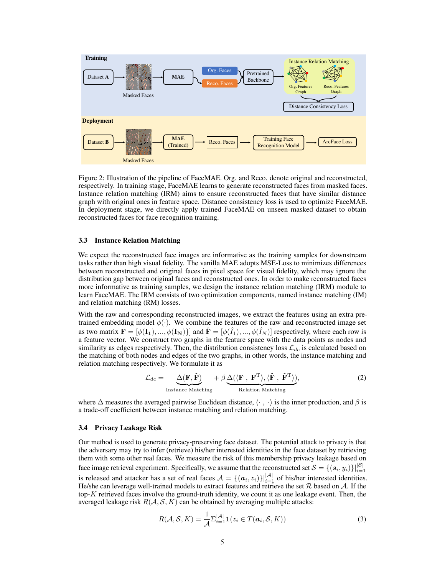

<span id="page-4-0"></span>Figure 2: Illustration of the pipeline of FaceMAE. Org. and Reco. denote original and reconstructed, respectively. In training stage, FaceMAE learns to generate reconstructed faces from masked faces. Instance relation matching (IRM) aims to ensure reconstructed faces that have similar distance graph with original ones in feature space. Distance consistency loss is used to optimize FaceMAE. In deployment stage, we directly apply trained FaceMAE on unseen masked dataset to obtain reconstructed faces for face recognition training.

#### 3.3 Instance Relation Matching

We expect the reconstructed face images are informative as the training samples for downstream tasks rather than high visual fidelity. The vanilla MAE adopts MSE-Loss to minimizes differences between reconstructed and original faces in pixel space for visual fidelity, which may ignore the distribution gap between original faces and reconstructed ones. In order to make reconstructed faces more informative as training samples, we design the instance relation matching (IRM) module to learn FaceMAE. The IRM consists of two optimization components, named instance matching (IM) and relation matching (RM) losses.

With the raw and corresponding reconstructed images, we extract the features using an extra pretrained embedding model  $\phi(\cdot)$ . We combine the features of the raw and reconstructed image set as two matrix  $\mathbf{F} = [\phi(\mathbf{I_1}), ..., \phi(\mathbf{I_N})]$  and  $\hat{\mathbf{F}} = [\phi(\hat{I}_1), ..., \phi(\hat{I}_N)]$  respectively, where each row is a feature vector. We construct two graphs in the feature space with the data points as nodes and similarity as edges respectively. Then, the distribution consistency loss  $\mathcal{L}_{dc}$  is calculated based on the matching of both nodes and edges of the two graphs, in other words, the instance matching and relation matching respectively. We formulate it as

$$
\mathcal{L}_{dc} = \underbrace{\Delta(\mathbf{F}, \hat{\mathbf{F}})}_{\text{Instance Matching}} + \beta \underbrace{\Delta(\langle \mathbf{F}, \mathbf{F}^{\text{T}} \rangle, \langle \hat{\mathbf{F}}, \hat{\mathbf{F}}^{\text{T}} \rangle)}_{\text{Relation Matching}},
$$
(2)

where  $\Delta$  measures the averaged pairwise Euclidean distance,  $\langle \cdot, \cdot \rangle$  is the inner production, and  $\beta$  is a trade-off coefficient between instance matching and relation matching.

#### <span id="page-4-1"></span>3.4 Privacy Leakage Risk

Our method is used to generate privacy-preserving face dataset. The potential attack to privacy is that the adversary may try to infer (retrieve) his/her interested identities in the face dataset by retrieving them with some other real faces. We measure the risk of this membership privacy leakage based on face image retrieval experiment. Specifically, we assume that the reconstructed set  $\mathcal{S} = \{(\boldsymbol{s}_i, y_i)\}|_{i=1}^{|\mathcal{S}|}$ is released and attacker has a set of real faces  $A = \{(\boldsymbol{a}_i, z_i)\}\big|_{i=1}^{|A|}$  of his/her interested identities. He/she can leverage well-trained models to extract features and retrieve the set  $R$  based on  $A$ . If the top- $K$  retrieved faces involve the ground-truth identity, we count it as one leakage event. Then, the averaged leakage risk  $R(A, S, K)$  can be obtained by averaging multiple attacks:

$$
R(\mathcal{A}, \mathcal{S}, K) = \frac{1}{\mathcal{A}} \sum_{i=1}^{|\mathcal{A}|} \mathbf{1}(z_i \in T(\boldsymbol{a}_i, \mathcal{S}, K))
$$
(3)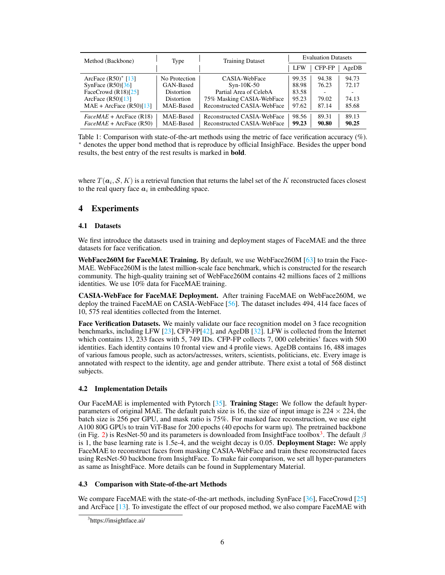| Method (Backbone)         | Type              | <b>Training Dataset</b>     | <b>Evaluation Datasets</b> |        |       |  |  |
|---------------------------|-------------------|-----------------------------|----------------------------|--------|-------|--|--|
|                           |                   |                             | <b>LFW</b>                 | CFP-FP | AgeDB |  |  |
| ArcFace $(R50)^*$ [13]    | No Protection     | CASIA-WebFace               | 99.35                      | 94.38  | 94.73 |  |  |
| SynFace $(R50)$ [36]      | GAN-Based         | $Syn-10K-50$                | 88.98                      | 76.23  | 72.17 |  |  |
| FaceCrowd $(R18)$ [25]    | <b>Distortion</b> | Partial Area of CelebA      | 83.58                      |        |       |  |  |
| ArcFace $(R50)[13]$       | <b>Distortion</b> | 75% Masking CASIA-WebFace   | 95.23                      | 79.02  | 74.13 |  |  |
| $MAE + ArcFace (R50)[13]$ | MAE-Based         | Reconstructed CASIA-WebFace | 97.62                      | 87.14  | 85.68 |  |  |
| $FaceMAE + ArcFace (R18)$ | MAE-Based         | Reconstructed CASIA-WebFace | 98.56                      | 89.31  | 89.13 |  |  |
| $FaceMAE + ArcFace (R50)$ | MAE-Based         | Reconstructed CASIA-WebFace | 99.23                      | 90.80  | 90.25 |  |  |

<span id="page-5-1"></span>Table 1: Comparison with state-of-the-art methods using the metric of face verification accuracy (%). <sup>∗</sup> denotes the upper bond method that is reproduce by official InsighFace. Besides the upper bond results, the best entry of the rest results is marked in bold.

where  $T(\bm{a}_i,\mathcal{S},K)$  is a retrieval function that returns the label set of the  $K$  reconstructed faces closest to the real query face  $a_i$  in embedding space.

# 4 Experiments

# 4.1 Datasets

We first introduce the datasets used in training and deployment stages of FaceMAE and the three datasets for face verification.

WebFace260M for FaceMAE Training. By default, we use WebFace260M [\[63\]](#page-11-0) to train the Face-MAE. WebFace260M is the latest million-scale face benchmark, which is constructed for the research community. The high-quality training set of WebFace260M contains 42 millions faces of 2 millions identities. We use 10% data for FaceMAE training.

CASIA-WebFace for FaceMAE Deployment. After training FaceMAE on WebFace260M, we deploy the trained FaceMAE on CASIA-WebFace [\[56\]](#page-10-2). The dataset includes 494, 414 face faces of 10, 575 real identities collected from the Internet.

Face Verification Datasets. We mainly validate our face recognition model on 3 face recognition benchmarks, including LFW [\[23\]](#page-9-22), CFP-FP[\[42\]](#page-10-26), and AgeDB [\[32\]](#page-9-23). LFW is collected from the Internet which contains 13, 233 faces with 5, 749 IDs. CFP-FP collects 7, 000 celebrities' faces with 500 identities. Each identity contains 10 frontal view and 4 profile views. AgeDB contains 16, 488 images of various famous people, such as actors/actresses, writers, scientists, politicians, etc. Every image is annotated with respect to the identity, age and gender attribute. There exist a total of 568 distinct subjects.

# 4.2 Implementation Details

Our FaceMAE is implemented with Pytorch [\[35\]](#page-10-27). Training Stage: We follow the default hyperparameters of original MAE. The default patch size is 16, the size of input image is  $224 \times 224$ , the batch size is 256 per GPU, and mask ratio is 75%. For masked face reconstruction, we use eight A100 80G GPUs to train ViT-Base for 200 epochs (40 epochs for warm up). The pretrained backbone (in Fig. [2\)](#page-4-0) is ResNet-50 and its parameters is downloaded from InsightFace toolbox<sup>[3](#page-5-0)</sup>. The default  $\beta$ is 1, the base learning rate is 1.5e-4, and the weight decay is 0.05. Deployment Stage: We apply FaceMAE to reconstruct faces from masking CASIA-WebFace and train these reconstructed faces using ResNet-50 backbone from InsightFace. To make fair comparison, we set all hyper-parameters as same as InisghtFace. More details can be found in Supplementary Material.

# 4.3 Comparison with State-of-the-art Methods

We compare FaceMAE with the state-of-the-art methods, including SynFace [\[36\]](#page-10-12), FaceCrowd [\[25\]](#page-9-21) and ArcFace [\[13\]](#page-9-0). To investigate the effect of our proposed method, we also compare FaceMAE with

<span id="page-5-0"></span><sup>&</sup>lt;sup>3</sup>https://insightface.ai/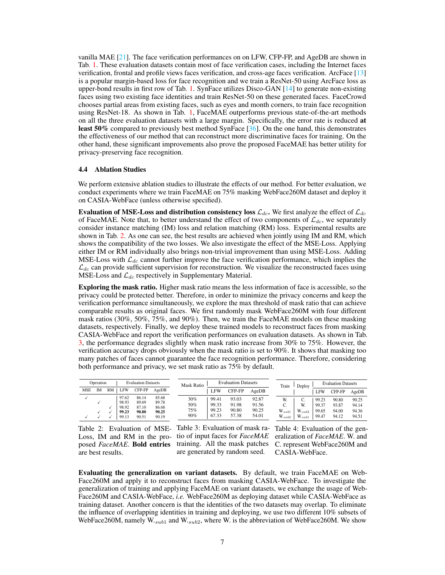vanilla MAE  $[21]$ . The face verification performances on on LFW, CFP-FP, and AgeDB are shown in Tab. [1.](#page-5-1) These evaluation datasets contain most of face verification cases, including the Internet faces verification, frontal and profile views faces verification, and cross-age faces verification. ArcFace [\[13\]](#page-9-0) is a popular margin-based loss for face recognition and we train a ResNet-50 using ArcFace loss as upper-bond results in first row of Tab. [1.](#page-5-1) SynFace utilizes Disco-GAN [\[14\]](#page-9-24) to generate non-existing faces using two existing face identities and train ResNet-50 on these generated faces. FaceCrowd chooses partial areas from existing faces, such as eyes and month corners, to train face recognition using ResNet-18. As shown in Tab. [1,](#page-5-1) FaceMAE outperforms previous state-of-the-art methods on all the three evaluation datasets with a large margin. Specifically, the error rate is reduced at least 50% compared to previously best method SynFace [\[36\]](#page-10-12). On the one hand, this demonstrates the effectiveness of our method that can reconstruct more discriminative faces for training. On the other hand, these significant improvements also prove the proposed FaceMAE has better utility for privacy-preserving face recognition.

# 4.4 Ablation Studies

We perform extensive ablation studies to illustrate the effects of our method. For better evaluation, we conduct experiments where we train FaceMAE on 75% masking WebFace260M dataset and deploy it on CASIA-WebFace (unless otherwise specified).

Evaluation of MSE-Loss and distribution consistency loss  $\mathcal{L}_{dc}$ . We first analyze the effect of  $\mathcal{L}_{dc}$ of FaceMAE. Note that, to better understand the effect of two components of  $\mathcal{L}_{dc}$ , we separately consider instance matching (IM) loss and relation matching (RM) loss. Experimental results are shown in Tab. [2.](#page-6-0) As one can see, the best results are achieved when jointly using IM and RM, which shows the compatibility of the two losses. We also investigate the effect of the MSE-Loss. Applying either IM or RM individually also brings non-trivial improvement than using MSE-Loss. Adding MSE-Loss with  $\mathcal{L}_{dc}$  cannot further improve the face verification performance, which implies the  $\mathcal{L}_{dc}$  can provide sufficient supervision for reconstruction. We visualize the reconstructed faces using MSE-Loss and  $\mathcal{L}_{dc}$  respectively in Supplementary Material.

Exploring the mask ratio. Higher mask ratio means the less information of face is accessible, so the privacy could be protected better. Therefore, in order to minimize the privacy concerns and keep the verification performance simultaneously, we explore the max threshold of mask ratio that can achieve comparable results as original faces. We first randomly mask WebFace260M with four different mask ratios (30%, 50%, 75%, and 90%). Then, we train the FaceMAE models on these masking datasets, respectively. Finally, we deploy these trained models to reconstruct faces from masking CASIA-WebFace and report the verification performances on evaluation datasets. As shown in Tab. [3,](#page-6-1) the performance degrades slightly when mask ratio increase from 30% to 75%. However, the verification accuracy drops obviously when the mask ratio is set to 90%. It shows that masking too many patches of faces cannot guarantee the face recognition performance. Therefore, considering both performance and privacy, we set mask ratio as 75% by default.

|            | Operation |                                           | <b>Evaluation Datasets</b>                |                                           | Mask Ratio               |                                  | <b>Evaluation Datasets</b>       |                                  | Train | Deploy                                          | <b>Evaluation Datasets</b>           |                                  |                                  |                                  |
|------------|-----------|-------------------------------------------|-------------------------------------------|-------------------------------------------|--------------------------|----------------------------------|----------------------------------|----------------------------------|-------|-------------------------------------------------|--------------------------------------|----------------------------------|----------------------------------|----------------------------------|
| <b>MSE</b> | <b>IM</b> | RM<br>∟FW                                 | CFP-FP                                    | AgeDB                                     |                          | LFW                              | CFP-FP                           | AgeDB                            |       |                                                 |                                      | <b>LFW</b>                       | CFP-FP                           | AgeDB                            |
|            |           | 97.62<br>98.93<br>98.92<br>99.23<br>99.13 | 86.14<br>89.69<br>87.10<br>90.80<br>90.51 | 85.68<br>89.78<br>86.68<br>90.25<br>90.19 | 30%<br>50%<br>75%<br>90% | 99.41<br>99.33<br>99.23<br>67.33 | 93.03<br>91.98<br>90.80<br>57.38 | 92.87<br>91.56<br>90.25<br>54.01 |       | W.<br>C<br>J.<br>$W_{\cdot sub1}$<br>$W_{sub2}$ | J.<br>W.<br>$W_{sub2}$<br>$W_{sub1}$ | 99.23<br>99.37<br>99.65<br>99.47 | 90.80<br>93.87<br>94.00<br>94.12 | 90.25<br>94.14<br>94.36<br>94.51 |

are best results.

<span id="page-6-0"></span>Table 2: Evaluation of MSE-Table 3: Evaluation of mask ra-Table 4: Evaluation of the gen-Loss, IM and RM in the pro- tio of input faces for *FaceMAE* eralization of *FaceMAE*. W. and posed FaceMAE. Bold entries training. All the mask patches C. represent WebFace260M and are generated by random seed.

<span id="page-6-2"></span><span id="page-6-1"></span>CASIA-WebFace.

Evaluating the generalization on variant datasets. By default, we train FaceMAE on Web-Face260M and apply it to reconstruct faces from masking CASIA-WebFace. To investigate the generalization of training and applying FaceMAE on variant datasets, we exchange the usage of Web-Face260M and CASIA-WebFace, *i.e.* WebFace260M as deploying dataset while CASIA-WebFace as training dataset. Another concern is that the identities of the two datasets may overlap. To eliminate the influence of overlapping identities in training and deploying, we use two different 10% subsets of WebFace260M, namely  $W_{.sub1}$  and  $W_{.sub2}$ , where W. is the abbreviation of WebFace260M. We show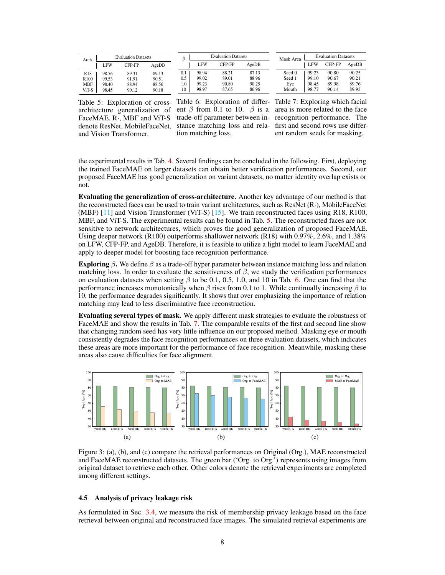| Arch.            |       | <b>Evaluation Datasets</b> |       |  |  |  |  |
|------------------|-------|----------------------------|-------|--|--|--|--|
|                  | LFW   | CFP-FP                     | AgeDB |  |  |  |  |
| R <sub>18</sub>  | 98.56 | 89.31                      | 89.13 |  |  |  |  |
| R <sub>100</sub> | 99.53 | 91.91                      | 90.51 |  |  |  |  |
| <b>MBF</b>       | 98.40 | 88.94                      | 88.56 |  |  |  |  |
| ViT-S            | 98.45 | 90.12                      | 90.18 |  |  |  |  |

β Evaluation Datasets LFW CFP-FP AgeDB 0.1 98.94 88.21 87.13<br>0.5 99.02 89.01 88.96  $\begin{array}{c|cc}\n0.5 & 99.02 & 89.01 & 88.96 \\
1.0 & 99.23 & 90.80 & 90.25\n\end{array}$ 1.0 99.23 90.80 90.25<br>10 98.97 87.65 86.96 86.96

<span id="page-7-2"></span>

| Mask Area | <b>Evaluation Datasets</b> |        |       |  |  |  |
|-----------|----------------------------|--------|-------|--|--|--|
|           | LFW                        | CFP-FP | AgeDB |  |  |  |
| Seed 0    | 99.23                      | 90.80  | 90.25 |  |  |  |
| Seed 1    | 99.10                      | 90.67  | 90.21 |  |  |  |
| Eye       | 98.45                      | 89.98  | 89.76 |  |  |  |
| Mouth     | 98.77                      | 90.14  | 89.93 |  |  |  |

<span id="page-7-0"></span>Table 5: Exploration of crossarchitecture generalization of FaceMAE. R·, MBF and ViT-S denote ResNet, MobileFaceNet, and Vision Transformer.

Table 6: Exploration of differ-Table 7: Exploring which facial tion matching loss.

<span id="page-7-1"></span>ent  $\beta$  from 0.1 to 10.  $\beta$  is a area is more related to the face trade-off parameter between in-recognition performance. The stance matching loss and rela-first and second rows use different random seeds for masking.

the experimental results in Tab. [4.](#page-6-2) Several findings can be concluded in the following. First, deploying the trained FaceMAE on larger datasets can obtain better verification performances. Second, our proposed FaceMAE has good generalization on variant datasets, no matter identity overlap exists or not.

Evaluating the generalization of cross-architecture. Another key advantage of our method is that the reconstructed faces can be used to train variant architectures, such as ResNet (R·), MobileFaceNet (MBF) [\[11\]](#page-9-25) and Vision Transformer (ViT-S) [\[15\]](#page-9-20). We train reconstructed faces using R18, R100, MBF, and ViT-S. The experimental results can be found in Tab. [5.](#page-7-0) The reconstructed faces are not sensitive to network architectures, which proves the good generalization of proposed FaceMAE. Using deeper network (R100) outperforms shallower network (R18) with 0.97%, 2.6%, and 1.38% on LFW, CFP-FP, and AgeDB. Therefore, it is feasible to utilize a light model to learn FaceMAE and apply to deeper model for boosting face recognition performance.

Exploring  $\beta$ . We define  $\beta$  as a trade-off hyper parameter between instance matching loss and relation matching loss. In order to evaluate the sensitiveness of  $\beta$ , we study the verification performances on evaluation datasets when setting  $\beta$  to be 0.1, 0.5, 1.0, and 10 in Tab. [6.](#page-7-1) One can find that the performance increases monotonically when  $\beta$  rises from 0.1 to 1. While continually increasing  $\beta$  to 10, the performance degrades significantly. It shows that over emphasizing the importance of relation matching may lead to less discriminative face reconstruction.

Evaluating several types of mask. We apply different mask strategies to evaluate the robustness of FaceMAE and show the results in Tab. [7.](#page-7-2) The comparable results of the first and second line show that changing random seed has very little influence on our proposed method. Masking eye or mouth consistently degrades the face recognition performances on three evaluation datasets, which indicates these areas are more important for the performance of face recognition. Meanwhile, masking these areas also cause difficulties for face alignment.

<span id="page-7-4"></span>

<span id="page-7-6"></span><span id="page-7-5"></span><span id="page-7-3"></span>Figure 3: (a), (b), and (c) compare the retrieval performances on Original (Org.), MAE reconstructed and FaceMAE reconstructed datasets. The green bar ('Org. to Org.') represents using images from original dataset to retrieve each other. Other colors denote the retrieval experiments are completed among different settings.

#### 4.5 Analysis of privacy leakage risk

As formulated in Sec. [3.4,](#page-4-1) we measure the risk of membership privacy leakage based on the face retrieval between original and reconstructed face images. The simulated retrieval experiments are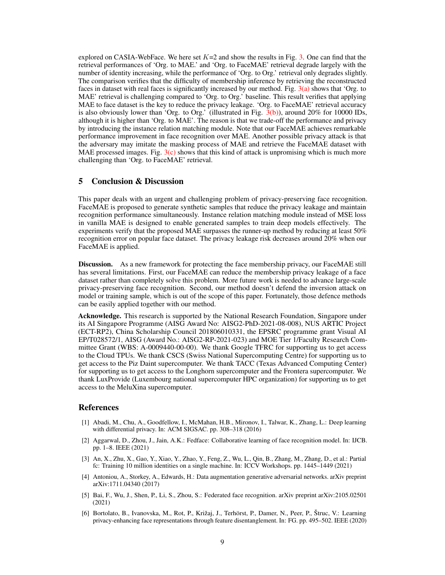explored on CASIA-WebFace. We here set  $K=2$  and show the results in Fig. [3.](#page-7-3) One can find that the retrieval performances of 'Org. to MAE.' and 'Org. to FaceMAE' retrieval degrade largely with the number of identity increasing, while the performance of 'Org. to Org.' retrieval only degrades slightly. The comparison verifies that the difficulty of membership inference by retrieving the reconstructed faces in dataset with real faces is significantly increased by our method. Fig.  $3(a)$  shows that 'Org. to MAE' retrieval is challenging compared to 'Org. to Org.' baseline. This result verifies that applying MAE to face dataset is the key to reduce the privacy leakage. 'Org. to FaceMAE' retrieval accuracy is also obviously lower than 'Org. to Org.' (illustrated in Fig.  $3(b)$ ), around 20% for 10000 IDs, although it is higher than 'Org. to MAE'. The reason is that we trade-off the performance and privacy by introducing the instance relation matching module. Note that our FaceMAE achieves remarkable performance improvement in face recognition over MAE. Another possible privacy attack is that the adversary may imitate the masking process of MAE and retrieve the FaceMAE dataset with MAE processed images. Fig.  $3(c)$  shows that this kind of attack is unpromising which is much more challenging than 'Org. to FaceMAE' retrieval.

# 5 Conclusion & Discussion

This paper deals with an urgent and challenging problem of privacy-preserving face recognition. FaceMAE is proposed to generate synthetic samples that reduce the privacy leakage and maintain recognition performance simultaneously. Instance relation matching module instead of MSE loss in vanilla MAE is designed to enable generated samples to train deep models effectively. The experiments verify that the proposed MAE surpasses the runner-up method by reducing at least 50% recognition error on popular face dataset. The privacy leakage risk decreases around 20% when our FaceMAE is applied.

Discussion. As a new framework for protecting the face membership privacy, our FaceMAE still has several limitations. First, our FaceMAE can reduce the membership privacy leakage of a face dataset rather than completely solve this problem. More future work is needed to advance large-scale privacy-preserving face recognition. Second, our method doesn't defend the inversion attack on model or training sample, which is out of the scope of this paper. Fortunately, those defence methods can be easily applied together with our method.

Acknowledge. This research is supported by the National Research Foundation, Singapore under its AI Singapore Programme (AISG Award No: AISG2-PhD-2021-08-008), NUS ARTIC Project (ECT-RP2), China Scholarship Council 201806010331, the EPSRC programme grant Visual AI EP/T028572/1, AISG (Award No.: AISG2-RP-2021-023) and MOE Tier 1/Faculty Research Committee Grant (WBS: A-0009440-00-00). We thank Google TFRC for supporting us to get access to the Cloud TPUs. We thank CSCS (Swiss National Supercomputing Centre) for supporting us to get access to the Piz Daint supercomputer. We thank TACC (Texas Advanced Computing Center) for supporting us to get access to the Longhorn supercomputer and the Frontera supercomputer. We thank LuxProvide (Luxembourg national supercomputer HPC organization) for supporting us to get access to the MeluXina supercomputer.

#### References

- <span id="page-8-2"></span>[1] Abadi, M., Chu, A., Goodfellow, I., McMahan, H.B., Mironov, I., Talwar, K., Zhang, L.: Deep learning with differential privacy. In: ACM SIGSAC. pp. 308–318 (2016)
- <span id="page-8-4"></span>[2] Aggarwal, D., Zhou, J., Jain, A.K.: Fedface: Collaborative learning of face recognition model. In: IJCB. pp. 1–8. IEEE (2021)
- <span id="page-8-0"></span>[3] An, X., Zhu, X., Gao, Y., Xiao, Y., Zhao, Y., Feng, Z., Wu, L., Qin, B., Zhang, M., Zhang, D., et al.: Partial fc: Training 10 million identities on a single machine. In: ICCV Workshops. pp. 1445–1449 (2021)
- <span id="page-8-5"></span>[4] Antoniou, A., Storkey, A., Edwards, H.: Data augmentation generative adversarial networks. arXiv preprint arXiv:1711.04340 (2017)
- <span id="page-8-3"></span>[5] Bai, F., Wu, J., Shen, P., Li, S., Zhou, S.: Federated face recognition. arXiv preprint arXiv:2105.02501 (2021)
- <span id="page-8-1"></span>[6] Bortolato, B., Ivanovska, M., Rot, P., Križaj, J., Terhörst, P., Damer, N., Peer, P., Štruc, V.: Learning privacy-enhancing face representations through feature disentanglement. In: FG. pp. 495–502. IEEE (2020)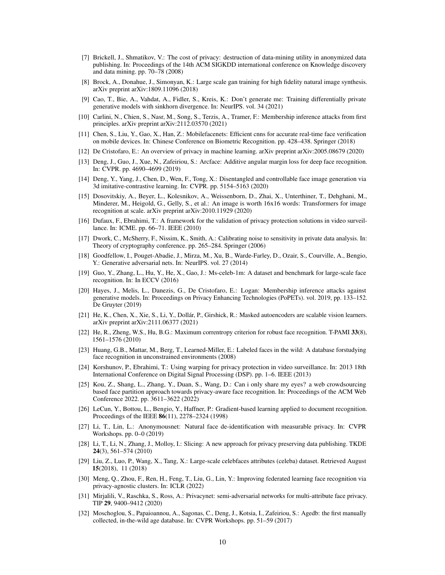- <span id="page-9-15"></span>[7] Brickell, J., Shmatikov, V.: The cost of privacy: destruction of data-mining utility in anonymized data publishing. In: Proceedings of the 14th ACM SIGKDD international conference on Knowledge discovery and data mining. pp. 70–78 (2008)
- <span id="page-9-19"></span>[8] Brock, A., Donahue, J., Simonyan, K.: Large scale gan training for high fidelity natural image synthesis. arXiv preprint arXiv:1809.11096 (2018)
- <span id="page-9-13"></span>[9] Cao, T., Bie, A., Vahdat, A., Fidler, S., Kreis, K.: Don't generate me: Training differentially private generative models with sinkhorn divergence. In: NeurIPS. vol. 34 (2021)
- <span id="page-9-17"></span>[10] Carlini, N., Chien, S., Nasr, M., Song, S., Terzis, A., Tramer, F.: Membership inference attacks from first principles. arXiv preprint arXiv:2112.03570 (2021)
- <span id="page-9-25"></span>[11] Chen, S., Liu, Y., Gao, X., Han, Z.: Mobilefacenets: Efficient cnns for accurate real-time face verification on mobile devices. In: Chinese Conference on Biometric Recognition. pp. 428–438. Springer (2018)
- <span id="page-9-5"></span>[12] De Cristofaro, E.: An overview of privacy in machine learning. arXiv preprint arXiv:2005.08679 (2020)
- <span id="page-9-0"></span>[13] Deng, J., Guo, J., Xue, N., Zafeiriou, S.: Arcface: Additive angular margin loss for deep face recognition. In: CVPR. pp. 4690–4699 (2019)
- <span id="page-9-24"></span>[14] Deng, Y., Yang, J., Chen, D., Wen, F., Tong, X.: Disentangled and controllable face image generation via 3d imitative-contrastive learning. In: CVPR. pp. 5154–5163 (2020)
- <span id="page-9-20"></span>[15] Dosovitskiy, A., Beyer, L., Kolesnikov, A., Weissenborn, D., Zhai, X., Unterthiner, T., Dehghani, M., Minderer, M., Heigold, G., Gelly, S., et al.: An image is worth 16x16 words: Transformers for image recognition at scale. arXiv preprint arXiv:2010.11929 (2020)
- <span id="page-9-6"></span>[16] Dufaux, F., Ebrahimi, T.: A framework for the validation of privacy protection solutions in video surveillance. In: ICME. pp. 66–71. IEEE (2010)
- <span id="page-9-11"></span>[17] Dwork, C., McSherry, F., Nissim, K., Smith, A.: Calibrating noise to sensitivity in private data analysis. In: Theory of cryptography conference. pp. 265–284. Springer (2006)
- <span id="page-9-18"></span>[18] Goodfellow, I., Pouget-Abadie, J., Mirza, M., Xu, B., Warde-Farley, D., Ozair, S., Courville, A., Bengio, Y.: Generative adversarial nets. In: NeurIPS. vol. 27 (2014)
- <span id="page-9-10"></span>[19] Guo, Y., Zhang, L., Hu, Y., He, X., Gao, J.: Ms-celeb-1m: A dataset and benchmark for large-scale face recognition. In: In ECCV (2016)
- <span id="page-9-3"></span>[20] Hayes, J., Melis, L., Danezis, G., De Cristofaro, E.: Logan: Membership inference attacks against generative models. In: Proceedings on Privacy Enhancing Technologies (PoPETs). vol. 2019, pp. 133–152. De Gruyter (2019)
- <span id="page-9-9"></span>[21] He, K., Chen, X., Xie, S., Li, Y., Dollár, P., Girshick, R.: Masked autoencoders are scalable vision learners. arXiv preprint arXiv:2111.06377 (2021)
- <span id="page-9-1"></span>[22] He, R., Zheng, W.S., Hu, B.G.: Maximum correntropy criterion for robust face recognition. T-PAMI 33(8), 1561–1576 (2010)
- <span id="page-9-22"></span>[23] Huang, G.B., Mattar, M., Berg, T., Learned-Miller, E.: Labeled faces in the wild: A database forstudying face recognition in unconstrained environments (2008)
- <span id="page-9-7"></span>[24] Korshunov, P., Ebrahimi, T.: Using warping for privacy protection in video surveillance. In: 2013 18th International Conference on Digital Signal Processing (DSP). pp. 1–6. IEEE (2013)
- <span id="page-9-21"></span>[25] Kou, Z., Shang, L., Zhang, Y., Duan, S., Wang, D.: Can i only share my eyes? a web crowdsourcing based face partition approach towards privacy-aware face recognition. In: Proceedings of the ACM Web Conference 2022. pp. 3611–3622 (2022)
- <span id="page-9-12"></span>[26] LeCun, Y., Bottou, L., Bengio, Y., Haffner, P.: Gradient-based learning applied to document recognition. Proceedings of the IEEE 86(11), 2278–2324 (1998)
- <span id="page-9-8"></span>[27] Li, T., Lin, L.: Anonymousnet: Natural face de-identification with measurable privacy. In: CVPR Workshops. pp. 0–0 (2019)
- <span id="page-9-16"></span>[28] Li, T., Li, N., Zhang, J., Molloy, I.: Slicing: A new approach for privacy preserving data publishing. TKDE 24(3), 561–574 (2010)
- <span id="page-9-2"></span>[29] Liu, Z., Luo, P., Wang, X., Tang, X.: Large-scale celebfaces attributes (celeba) dataset. Retrieved August 15(2018), 11 (2018)
- <span id="page-9-14"></span>[30] Meng, Q., Zhou, F., Ren, H., Feng, T., Liu, G., Lin, Y.: Improving federated learning face recognition via privacy-agnostic clusters. In: ICLR (2022)
- <span id="page-9-4"></span>[31] Mirjalili, V., Raschka, S., Ross, A.: Privacynet: semi-adversarial networks for multi-attribute face privacy. TIP 29, 9400–9412 (2020)
- <span id="page-9-23"></span>[32] Moschoglou, S., Papaioannou, A., Sagonas, C., Deng, J., Kotsia, I., Zafeiriou, S.: Agedb: the first manually collected, in-the-wild age database. In: CVPR Workshops. pp. 51–59 (2017)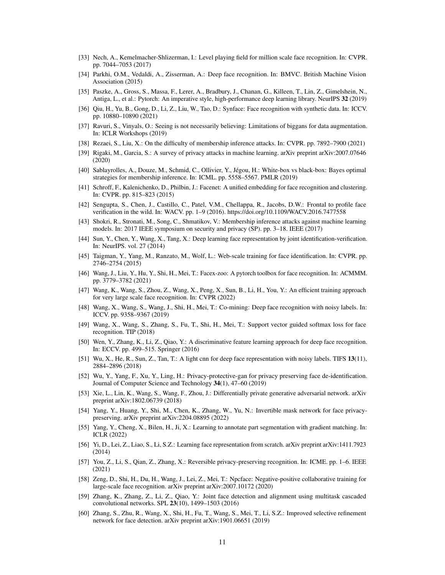- <span id="page-10-15"></span>[33] Nech, A., Kemelmacher-Shlizerman, I.: Level playing field for million scale face recognition. In: CVPR. pp. 7044–7053 (2017)
- <span id="page-10-14"></span>[34] Parkhi, O.M., Vedaldi, A., Zisserman, A.: Deep face recognition. In: BMVC. British Machine Vision Association (2015)
- <span id="page-10-27"></span>[35] Paszke, A., Gross, S., Massa, F., Lerer, A., Bradbury, J., Chanan, G., Killeen, T., Lin, Z., Gimelshein, N., Antiga, L., et al.: Pytorch: An imperative style, high-performance deep learning library. NeurIPS 32 (2019)
- <span id="page-10-12"></span>[36] Qiu, H., Yu, B., Gong, D., Li, Z., Liu, W., Tao, D.: Synface: Face recognition with synthetic data. In: ICCV. pp. 10880–10890 (2021)
- <span id="page-10-25"></span>[37] Ravuri, S., Vinyals, O.: Seeing is not necessarily believing: Limitations of biggans for data augmentation. In: ICLR Workshops (2019)
- <span id="page-10-23"></span>[38] Rezaei, S., Liu, X.: On the difficulty of membership inference attacks. In: CVPR. pp. 7892–7900 (2021)
- <span id="page-10-13"></span>[39] Rigaki, M., Garcia, S.: A survey of privacy attacks in machine learning. arXiv preprint arXiv:2007.07646 (2020)
- <span id="page-10-22"></span>[40] Sablayrolles, A., Douze, M., Schmid, C., Ollivier, Y., Jégou, H.: White-box vs black-box: Bayes optimal strategies for membership inference. In: ICML. pp. 5558–5567. PMLR (2019)
- <span id="page-10-17"></span>[41] Schroff, F., Kalenichenko, D., Philbin, J.: Facenet: A unified embedding for face recognition and clustering. In: CVPR. pp. 815–823 (2015)
- <span id="page-10-26"></span>[42] Sengupta, S., Chen, J., Castillo, C., Patel, V.M., Chellappa, R., Jacobs, D.W.: Frontal to profile face verification in the wild. In: WACV. pp. 1–9 (2016). https://doi.org/10.1109/WACV.2016.7477558
- <span id="page-10-21"></span>[43] Shokri, R., Stronati, M., Song, C., Shmatikov, V.: Membership inference attacks against machine learning models. In: 2017 IEEE symposium on security and privacy (SP). pp. 3–18. IEEE (2017)
- <span id="page-10-3"></span>[44] Sun, Y., Chen, Y., Wang, X., Tang, X.: Deep learning face representation by joint identification-verification. In: NeurIPS. vol. 27 (2014)
- <span id="page-10-16"></span>[45] Taigman, Y., Yang, M., Ranzato, M., Wolf, L.: Web-scale training for face identification. In: CVPR. pp. 2746–2754 (2015)
- <span id="page-10-5"></span>[46] Wang, J., Liu, Y., Hu, Y., Shi, H., Mei, T.: Facex-zoo: A pytorch toolbox for face recognition. In: ACMMM. pp. 3779–3782 (2021)
- <span id="page-10-1"></span>[47] Wang, K., Wang, S., Zhou, Z., Wang, X., Peng, X., Sun, B., Li, H., You, Y.: An efficient training approach for very large scale face recognition. In: CVPR (2022)
- <span id="page-10-4"></span>[48] Wang, X., Wang, S., Wang, J., Shi, H., Mei, T.: Co-mining: Deep face recognition with noisy labels. In: ICCV. pp. 9358–9367 (2019)
- <span id="page-10-8"></span>[49] Wang, X., Wang, S., Zhang, S., Fu, T., Shi, H., Mei, T.: Support vector guided softmax loss for face recognition. TIP (2018)
- <span id="page-10-0"></span>[50] Wen, Y., Zhang, K., Li, Z., Qiao, Y.: A discriminative feature learning approach for deep face recognition. In: ECCV. pp. 499–515. Springer (2016)
- <span id="page-10-9"></span>[51] Wu, X., He, R., Sun, Z., Tan, T.: A light cnn for deep face representation with noisy labels. TIFS 13(11), 2884–2896 (2018)
- <span id="page-10-11"></span>[52] Wu, Y., Yang, F., Xu, Y., Ling, H.: Privacy-protective-gan for privacy preserving face de-identification. Journal of Computer Science and Technology 34(1), 47–60 (2019)
- <span id="page-10-18"></span>[53] Xie, L., Lin, K., Wang, S., Wang, F., Zhou, J.: Differentially private generative adversarial network. arXiv preprint arXiv:1802.06739 (2018)
- <span id="page-10-20"></span>[54] Yang, Y., Huang, Y., Shi, M., Chen, K., Zhang, W., Yu, N.: Invertible mask network for face privacypreserving. arXiv preprint arXiv:2204.08895 (2022)
- <span id="page-10-24"></span>[55] Yang, Y., Cheng, X., Bilen, H., Ji, X.: Learning to annotate part segmentation with gradient matching. In: ICLR (2022)
- <span id="page-10-2"></span>[56] Yi, D., Lei, Z., Liao, S., Li, S.Z.: Learning face representation from scratch. arXiv preprint arXiv:1411.7923 (2014)
- <span id="page-10-19"></span>[57] You, Z., Li, S., Qian, Z., Zhang, X.: Reversible privacy-preserving recognition. In: ICME. pp. 1–6. IEEE (2021)
- <span id="page-10-6"></span>[58] Zeng, D., Shi, H., Du, H., Wang, J., Lei, Z., Mei, T.: Npcface: Negative-positive collaborative training for large-scale face recognition. arXiv preprint arXiv:2007.10172 (2020)
- <span id="page-10-10"></span>[59] Zhang, K., Zhang, Z., Li, Z., Qiao, Y.: Joint face detection and alignment using multitask cascaded convolutional networks. SPL 23(10), 1499–1503 (2016)
- <span id="page-10-7"></span>[60] Zhang, S., Zhu, R., Wang, X., Shi, H., Fu, T., Wang, S., Mei, T., Li, S.Z.: Improved selective refinement network for face detection. arXiv preprint arXiv:1901.06651 (2019)